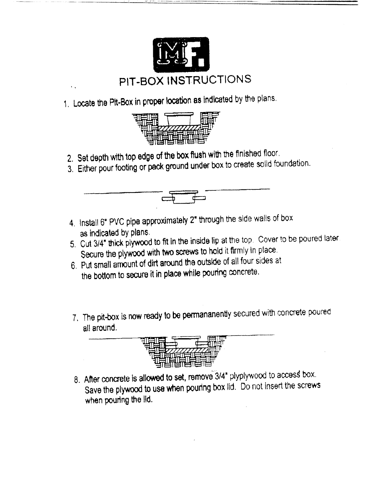

1. Locate the Plt-Box in proper location as indicated by the plans,



- 2. Set depth with top edge of the box flush with the finished floor,
- 3. Either pour footing or pack ground under box to create solid foundation.



- 5. Cut 3/4" thick plywood to fit in the inside lip at the top. Cover to be poured later Secure the plywood with two screws to hold it firmly in place,
- 6. Put small amount of dirt around the outside of all four sides at the bottom to secure it in place while pouring concrete.
- 7. The pit-box Is now ready to be permananently secured with concrete poured  $\frac{1}{2}$



8. After concrete is allowed to set, remove 3/4" plyplywood to access box. Save the plywood to use when pouring box lid. Do not insert the screws when pouring the lid.